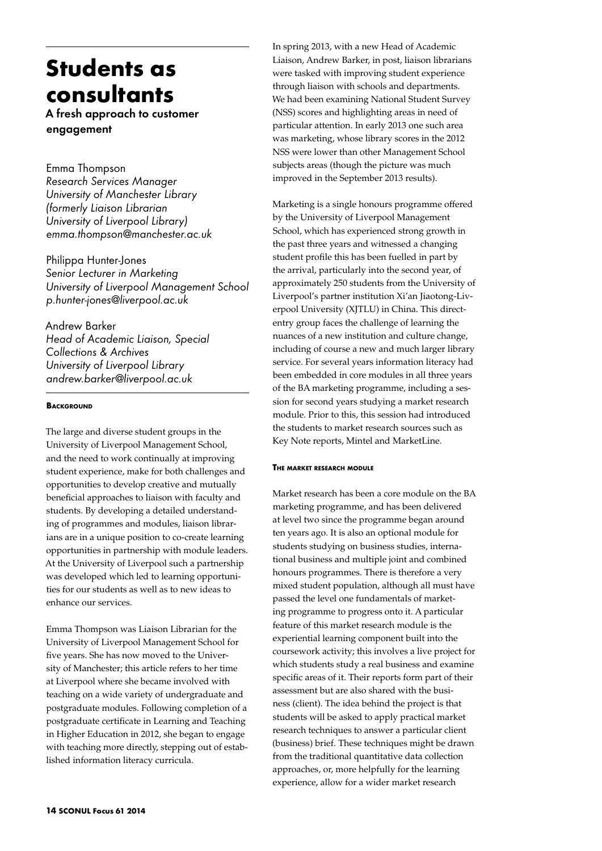# **Students as consultants**

A fresh approach to customer engagement

Emma Thompson *Research Services Manager University of Manchester Library (formerly Liaison Librarian University of Liverpool Library) emma.thompson@manchester.ac.uk*

Philippa Hunter-Jones *Senior Lecturer in Marketing University of Liverpool Management School p.hunter-jones@liverpool.ac.uk*

Andrew Barker *Head of Academic Liaison, Special Collections & Archives University of Liverpool Library andrew.barker@liverpool.ac.uk*

# **BACKGROUND**

The large and diverse student groups in the University of Liverpool Management School, and the need to work continually at improving student experience, make for both challenges and opportunities to develop creative and mutually beneficial approaches to liaison with faculty and students. By developing a detailed understanding of programmes and modules, liaison librarians are in a unique position to co-create learning opportunities in partnership with module leaders. At the University of Liverpool such a partnership was developed which led to learning opportunities for our students as well as to new ideas to enhance our services.

Emma Thompson was Liaison Librarian for the University of Liverpool Management School for five years. She has now moved to the University of Manchester; this article refers to her time at Liverpool where she became involved with teaching on a wide variety of undergraduate and postgraduate modules. Following completion of a postgraduate certificate in Learning and Teaching in Higher Education in 2012, she began to engage with teaching more directly, stepping out of established information literacy curricula.

In spring 2013, with a new Head of Academic Liaison, Andrew Barker, in post, liaison librarians were tasked with improving student experience through liaison with schools and departments. We had been examining National Student Survey (NSS) scores and highlighting areas in need of particular attention. In early 2013 one such area was marketing, whose library scores in the 2012 NSS were lower than other Management School subjects areas (though the picture was much improved in the September 2013 results).

Marketing is a single honours programme offered by the University of Liverpool Management School, which has experienced strong growth in the past three years and witnessed a changing student profile this has been fuelled in part by the arrival, particularly into the second year, of approximately 250 students from the University of Liverpool's partner institution Xi'an Jiaotong-Liverpool University (XJTLU) in China. This directentry group faces the challenge of learning the nuances of a new institution and culture change, including of course a new and much larger library service. For several years information literacy had been embedded in core modules in all three years of the BA marketing programme, including a session for second years studying a market research module. Prior to this, this session had introduced the students to market research sources such as Key Note reports, Mintel and MarketLine.

# **The market research module**

Market research has been a core module on the BA marketing programme, and has been delivered at level two since the programme began around ten years ago. It is also an optional module for students studying on business studies, international business and multiple joint and combined honours programmes. There is therefore a very mixed student population, although all must have passed the level one fundamentals of marketing programme to progress onto it. A particular feature of this market research module is the experiential learning component built into the coursework activity; this involves a live project for which students study a real business and examine specific areas of it. Their reports form part of their assessment but are also shared with the business (client). The idea behind the project is that students will be asked to apply practical market research techniques to answer a particular client (business) brief. These techniques might be drawn from the traditional quantitative data collection approaches, or, more helpfully for the learning experience, allow for a wider market research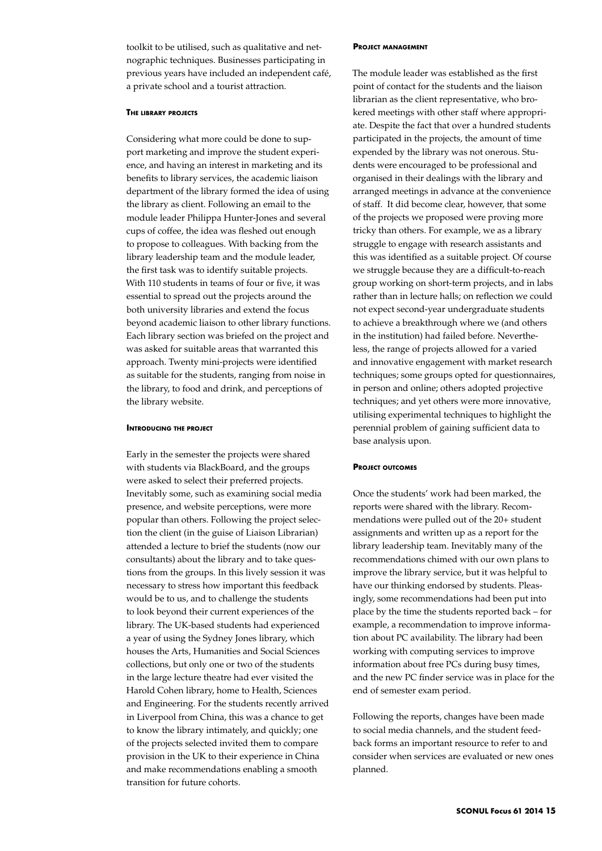toolkit to be utilised, such as qualitative and netnographic techniques. Businesses participating in previous years have included an independent café, a private school and a tourist attraction.

## **The library projects**

Considering what more could be done to support marketing and improve the student experience, and having an interest in marketing and its benefits to library services, the academic liaison department of the library formed the idea of using the library as client. Following an email to the module leader Philippa Hunter-Jones and several cups of coffee, the idea was fleshed out enough to propose to colleagues. With backing from the library leadership team and the module leader, the first task was to identify suitable projects. With 110 students in teams of four or five, it was essential to spread out the projects around the both university libraries and extend the focus beyond academic liaison to other library functions. Each library section was briefed on the project and was asked for suitable areas that warranted this approach. Twenty mini-projects were identified as suitable for the students, ranging from noise in the library, to food and drink, and perceptions of the library website.

## **Introducing the project**

Early in the semester the projects were shared with students via BlackBoard, and the groups were asked to select their preferred projects. Inevitably some, such as examining social media presence, and website perceptions, were more popular than others. Following the project selection the client (in the guise of Liaison Librarian) attended a lecture to brief the students (now our consultants) about the library and to take questions from the groups. In this lively session it was necessary to stress how important this feedback would be to us, and to challenge the students to look beyond their current experiences of the library. The UK-based students had experienced a year of using the Sydney Jones library, which houses the Arts, Humanities and Social Sciences collections, but only one or two of the students in the large lecture theatre had ever visited the Harold Cohen library, home to Health, Sciences and Engineering. For the students recently arrived in Liverpool from China, this was a chance to get to know the library intimately, and quickly; one of the projects selected invited them to compare provision in the UK to their experience in China and make recommendations enabling a smooth transition for future cohorts.

#### **Project management**

The module leader was established as the first point of contact for the students and the liaison librarian as the client representative, who brokered meetings with other staff where appropriate. Despite the fact that over a hundred students participated in the projects, the amount of time expended by the library was not onerous. Students were encouraged to be professional and organised in their dealings with the library and arranged meetings in advance at the convenience of staff. It did become clear, however, that some of the projects we proposed were proving more tricky than others. For example, we as a library struggle to engage with research assistants and this was identified as a suitable project. Of course we struggle because they are a difficult-to-reach group working on short-term projects, and in labs rather than in lecture halls; on reflection we could not expect second-year undergraduate students to achieve a breakthrough where we (and others in the institution) had failed before. Nevertheless, the range of projects allowed for a varied and innovative engagement with market research techniques; some groups opted for questionnaires, in person and online; others adopted projective techniques; and yet others were more innovative, utilising experimental techniques to highlight the perennial problem of gaining sufficient data to base analysis upon.

## **Project outcomes**

Once the students' work had been marked, the reports were shared with the library. Recommendations were pulled out of the 20+ student assignments and written up as a report for the library leadership team. Inevitably many of the recommendations chimed with our own plans to improve the library service, but it was helpful to have our thinking endorsed by students. Pleasingly, some recommendations had been put into place by the time the students reported back – for example, a recommendation to improve information about PC availability. The library had been working with computing services to improve information about free PCs during busy times, and the new PC finder service was in place for the end of semester exam period.

Following the reports, changes have been made to social media channels, and the student feedback forms an important resource to refer to and consider when services are evaluated or new ones planned.